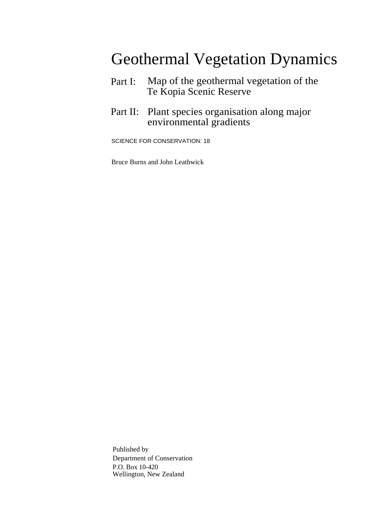### Geothermal Vegetation Dynamics

- Part I: Map of the geothermal vegetation of the Te Kopia Scenic Reserve
- Part II: Plant species organisation along major environmental gradients

SCIENCE FOR CONSERVATION: 18

Bruce Burns and John Leathwick

Published by Department of Conservation P.O. Box 10-420 Wellington, New Zealand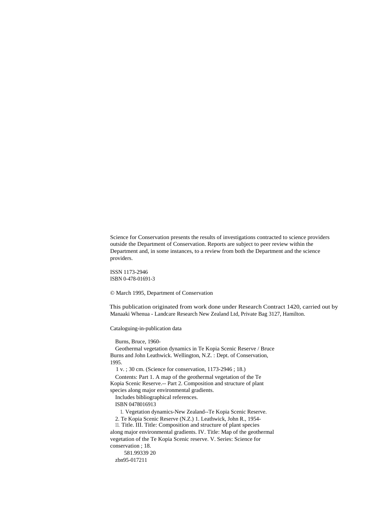Science for Conservation presents the results of investigations contracted to science providers outside the Department of Conservation. Reports are subject to peer review within the Department and, in some instances, to a review from both the Department and the science providers.

ISSN 1173-2946 ISBN 0-478-01691-3

© March 1995, Department of Conservation

This publication originated from work done under Research Contract 1420, carried out by Manaaki Whenua - Landcare Research New Zealand Ltd, Private Bag 3127, Hamilton.

Cataloguing-in-publication data

Burns, Bruce, 1960-

Geothermal vegetation dynamics in Te Kopia Scenic Reserve / Bruce Burns and John Leathwick. Wellington, N.Z. : Dept. of Conservation, 1995.

1 v. ; 30 cm. (Science for conservation, 1173-2946 ; 18.)

Contents: Part 1. A map of the geothermal vegetation of the Te Kopia Scenic Reserve.-- Part 2. Composition and structure of plant species along major environmental gradients.

Includes bibliographical references.

ISBN 0478016913

1. Vegetation dynamics-New Zealand--Te Kopia Scenic Reserve.

2. Te Kopia Scenic Reserve (N.Z.) 1. Leathwick, John R., 1954- 11. Title. III. Title: Composition and structure of plant species along major environmental gradients. IV. Title: Map of the geothermal vegetation of the Te Kopia Scenic reserve. V. Series: Science for conservation ; 18.

581.99339 20 zbn95-017211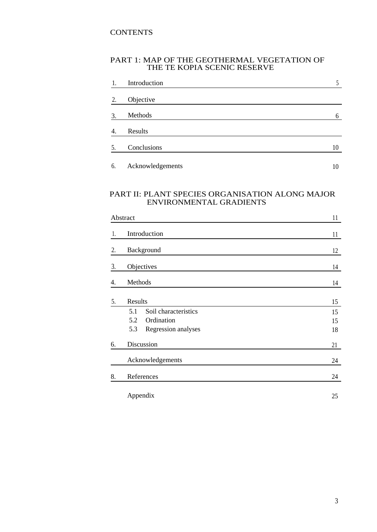#### **CONTENTS**

#### PART 1: MAP OF THE GEOTHERMAL VEGETATION OF THE TE KOPIA SCENIC RESERVE

| 1.               | Introduction     |    |
|------------------|------------------|----|
| 2.               | Objective        |    |
| 3.               | Methods          | 6  |
| $\overline{4}$ . | Results          |    |
| 5.               | Conclusions      | 10 |
| 6.               | Acknowledgements | 10 |

#### PART II: PLANT SPECIES ORGANISATION ALONG MAJOR ENVIRONMENTAL GRADIENTS

|    | Abstract                    | 11 |
|----|-----------------------------|----|
| 1. | Introduction                | 11 |
| 2. | Background                  | 12 |
| 3. | Objectives                  | 14 |
| 4. | Methods                     | 14 |
| 5. | Results                     | 15 |
|    | Soil characteristics<br>5.1 | 15 |
|    | 5.2<br>Ordination           | 15 |
|    | 5.3<br>Regression analyses  | 18 |
| 6. | Discussion                  | 21 |
|    | Acknowledgements            | 24 |
| 8. | References                  |    |
|    | Appendix                    | 25 |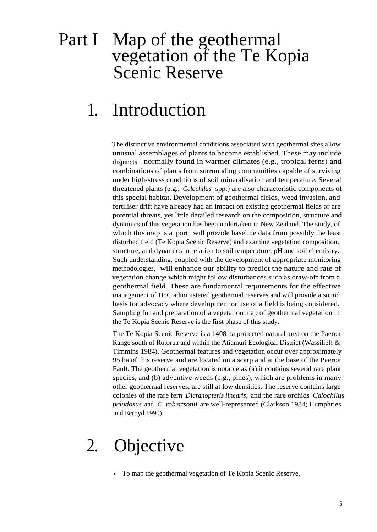### Part I Map of the geothermal vegetation of the Te Kopia Scenic Reserve

## 1. Introduction

The distinctive environmental conditions associated with geothermal sites allow unusual assemblages of plants to become established. These may include disjuncts normally found in warmer climates (e.g., tropical ferns) and combinations of plants from surrounding communities capable of surviving under high-stress conditions of soil mineralisation and temperature. Several threatened plants (e.g., *Calochilus* spp.) are also characteristic components of this special habitat. Development of geothermal fields, weed invasion, and fertiliser drift have already had an impact on existing geothermal fields or are potential threats, yet little detailed research on the composition, structure and dynamics of this vegetation has been undertaken in New Zealand. The study, of which this map is a port, will provide baseline data from possibly the least disturbed field (Te Kopia Scenic Reserve) and examine vegetation composition, structure, and dynamics in relation to soil temperature, pH and soil chemistry. Such understanding, coupled with the development of appropriate monitoring methodologies, will enhance our ability to predict the nature and rate of vegetation change which might follow disturbances such as draw-off from a geothermal field. These are fundamental requirements for the effective management of DoC administered geothermal reserves and will provide a sound basis for advocacy where development or use of a field is being considered. Sampling for and preparation of a vegetation map of geothermal vegetation in the Te Kopia Scenic Reserve is the first phase of this study.

The Te Kopia Scenic Reserve is a 1408 ha protected natural area on the Paeroa Range south of Rotorua and within the Atiamuri Ecological District (Wassilieff & Timmins 1984). Geothermal features and vegetation occur over approximately 95 ha of this reserve and are located on a scarp and at the base of the Paeroa Fault. The geothermal vegetation is notable as (a) it contains several rare plant species, and (b) adventive weeds (e.g., pines), which are problems in many other geothermal reserves, are still at low densities. The reserve contains large colonies of the rare fern *Dicranopteris linearis,* and the rare orchids *Calochilus paludosus* and *C. robertsonii* are well-represented (Clarkson 1984; Humphries and Ecroyd 1990).

## 2. Objective

• To map the geothermal vegetation of Te Kopia Scenic Reserve.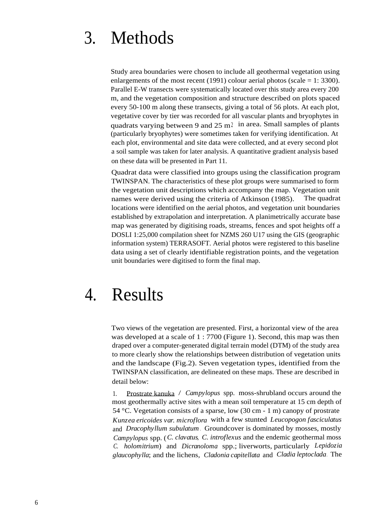## 3. Methods

Study area boundaries were chosen to include all geothermal vegetation using enlargements of the most recent (1991) colour aerial photos (scale  $= 1: 3300$ ). Parallel E-W transects were systematically located over this study area every 200 m, and the vegetation composition and structure described on plots spaced every 50-100 m along these transects, giving a total of 56 plots. At each plot, vegetative cover by tier was recorded for all vascular plants and bryophytes in quadrats varying between 9 and  $25 \text{ m}^2$  in area. Small samples of plants (particularly bryophytes) were sometimes taken for verifying identification. At each plot, environmental and site data were collected, and at every second plot a soil sample was taken for later analysis. A quantitative gradient analysis based on these data will be presented in Part 11.

Quadrat data were classified into groups using the classification program TWINSPAN. The characteristics of these plot groups were summarised to form the vegetation unit descriptions which accompany the map. Vegetation unit names were derived using the criteria of Atkinson (1985). The quadrat locations were identified on the aerial photos, and vegetation unit boundaries established by extrapolation and interpretation. A planimetrically accurate base map was generated by digitising roads, streams, fences and spot heights off a DOSLI 1:25,000 compilation sheet for NZMS 260 U17 using the GIS (geographic information system) TERRASOFT. Aerial photos were registered to this baseline data using a set of clearly identifiable registration points, and the vegetation unit boundaries were digitised to form the final map.

### 4. Results

Two views of the vegetation are presented. First, a horizontal view of the area was developed at a scale of 1 : 7700 (Figure 1). Second, this map was then draped over a computer-generated digital terrain model (DTM) of the study area to more clearly show the relationships between distribution of vegetation units and the landscape (Fig.2). Seven vegetation types, identified from the TWINSPAN classification, are delineated on these maps. These are described in detail below:

1. Prostrate kanuka / *Campylopus* spp. moss-shrubland occurs around the most geothermally active sites with a mean soil temperature at 15 cm depth of 54 °C. Vegetation consists of a sparse, low (30 cm - 1 m) canopy of prostrate *Kunzea ericoides var. microflora* with a few stunted *Leucopogon fasciculatus* and *Dracophyllum subulatum*. Groundcover is dominated by mosses, mostly *Campylopus* spp. (*C. clavatus*, *C. introflexus* and the endemic geothermal moss *C. holomitrium*) and *Dicranoloma* spp.; liverworts, particularly *Lepidozia glaucophylla*; and the lichens, *Cladonia capitellata* and *Cladia leptoclada*. The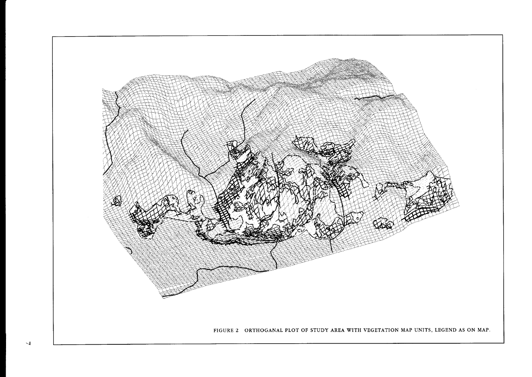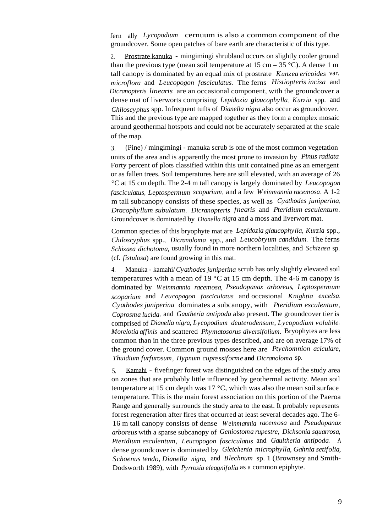fern ally *Lycopodium* cernuum is also a common component of the groundcover. Some open patches of bare earth are characteristic of this type.

2. Prostrate kanuka - mingimingi shrubland occurs on slightly cooler ground than the previous type (mean soil temperature at  $15 \text{ cm} = 35 \text{ }^{\circ}\text{C}$ ). A dense 1 m tall canopy is dominated by an equal mix of prostrate *Kunzea ericoides* var. *microflora* and *Leucopogon fasciculatus*. The ferns *Histiopteris incisa* and *Dicranopteris linearis* are an occasional component, with the groundcover a dense mat of liverworts comprising *Lepidozia glaucophylla*, *Kurzia* spp. and *Chiloscyphus* spp. Infrequent tufts of *Dianella nigra* also occur as groundcover. This and the previous type are mapped together as they form a complex mosaic around geothermal hotspots and could not be accurately separated at the scale of the map.

3. (Pine) / mingimingi - manuka scrub is one of the most common vegetation units of the area and is apparently the most prone to invasion by *Pinus radiata*. Forty percent of plots classified within this unit contained pine as an emergent or as fallen trees. Soil temperatures here are still elevated, with an average of 26 °C at 15 cm depth. The 2-4 m tall canopy is largely dominated by *Leucopogon fasciculatus*, *Leptospermum scoparium*, and a few *Weinmannia racemosa*. A 1-2 m tall subcanopy consists of these species, as well as *Cyathodes juniperina*, *Dracophyllum subulatum*, *Dicranopteris fnearis* and *Pteridium esculentum*. Groundcover is dominated by *Dianella nigra* and a moss and liverwort mat.

Common species of this bryophyte mat are *Lepidozia glaucophylla*, *Kurzia* spp., *Chiloscyphus* spp., *Dicranoloma* spp., and *Leucobryum candidum*. The ferns *Schizaea dichotoma,* usually found in more northern localities, and *Schizaea* sp. (cf. *fistulosa*) are found growing in this mat.

4. Manuka - kamahi/*Cyathodes juniperina* scrub has only slightly elevated soil temperatures with a mean of 19  $^{\circ}$ C at 15 cm depth. The 4-6 m canopy is dominated by *Weinmannia racemosa*, *Pseudopanax arboreus*, *Leptospermum scoparium* and *Leucopagon fasciculatus* and occasional *Knightia excelsa*. *Cyathodes juniperina* dominates a subcanopy, with *Pteridium esculentum*, *Coprosma lucida*, and *Gautheria antipoda* also present. The groundcover tier is comprised of *Dianella nigra, Lycopodium deuterodensum, Lycopodium volubile*, *Morelotia affinis* and scattered *Phymatosorus diversifolium.* Bryophytes are less common than in the three previous types described, and are on average 17% of the ground cover. Common ground mosses here are *Ptychomnion aciculare, Thuidium furfurosum, Hypnum cupressiforme* **and** *Dicranoloma* sp.

5. Kamahi - fivefinger forest was distinguished on the edges of the study area on zones that are probably little influenced by geothermal activity. Mean soil temperature at 15 cm depth was  $17 \degree C$ , which was also the mean soil surface temperature. This is the main forest association on this portion of the Paeroa Range and generally surrounds the study area to the east. It probably represents forest regeneration after fires that occurred at least several decades ago. The 6- 16 m tall canopy consists of dense *Weinmannia racemosa* and *Pseudopanax arboreus* with a sparse subcanopy of *Geniostoma rupestre, Dicksonia squarrosa, Pteridium esculentum, Leucopogon fasciculatus* and *Gaultheria antipoda.* <sup>A</sup> dense groundcover is dominated by *Gleichenia microphylla, Gahnia setifolia, Schoenus tendo, Dianella nigra,* and *Blechnum* sp. 1 (Brownsey and Smith-Dodsworth 1989), with *Pyrrosia eleagnifolia* as a common epiphyte.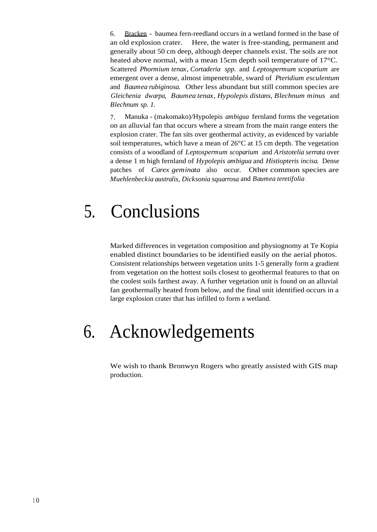6. Bracken - baumea fern-reedland occurs in a wetland formed in the base of an old explosion crater. Here, the water is free-standing, permanent and generally about 50 cm deep, although deeper channels exist. The soils are not heated above normal, with a mean 15cm depth soil temperature of 17°C. Scattered *Phormium tenax, Cortaderia spp.* and *Leptospermum scoparium* are emergent over a dense, almost impenetrable, sward of *Pteridium esculentum* and *Baumea rubiginosa.* Other less abundant but still common species are *Gleichenia dwarpa, Baumea tenax, Hypolepis distans, Blechnum minus* and *Blechnum sp. 1.*

7. Manuka - (makomako)/Hypolepis *ambigua* fernland forms the vegetation on an alluvial fan that occurs where a stream from the main range enters the explosion crater. The fan sits over geothermal activity, as evidenced by variable soil temperatures, which have a mean of  $26^{\circ}$ C at 15 cm depth. The vegetation consists of a woodland of *Leptospermum scoparium* and *Aristotelia serrata* over a dense 1 m high fernland of *Hypolepis ambigua* and *Histiopteris incisa.* Dense patches of *Carex geminata* also occur. Other common species are *Muehlenbeckia australis, Dicksonia squarrosa* and *Baumea teretifolia .*

## 5. Conclusions

Marked differences in vegetation composition and physiognomy at Te Kopia enabled distinct boundaries to be identified easily on the aerial photos. Consistent relationships between vegetation units 1-5 generally form a gradient from vegetation on the hottest soils closest to geothermal features to that on the coolest soils farthest away. A further vegetation unit is found on an alluvial fan geothermally heated from below, and the final unit identified occurs in a large explosion crater that has infilled to form a wetland.

## 6. Acknowledgements

We wish to thank Bronwyn Rogers who greatly assisted with GIS map production.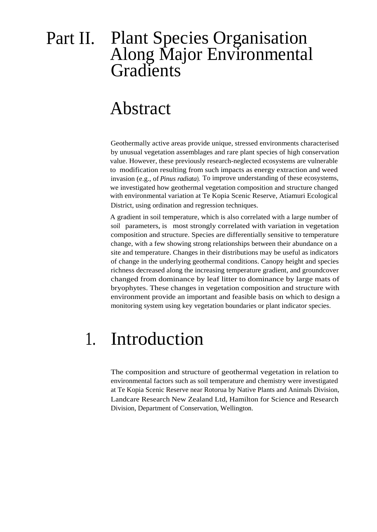### Part II. Plant Species Organisation Along Major Environmental Gradients

### Abstract

Geothermally active areas provide unique, stressed environments characterised by unusual vegetation assemblages and rare plant species of high conservation value. However, these previously research-neglected ecosystems are vulnerable to modification resulting from such impacts as energy extraction and weed invasion (e.g., of *Pinus radiata*). To improve understanding of these ecosystems, we investigated how geothermal vegetation composition and structure changed with environmental variation at Te Kopia Scenic Reserve, Atiamuri Ecological District, using ordination and regression techniques.

A gradient in soil temperature, which is also correlated with a large number of soil parameters, is most strongly correlated with variation in vegetation composition and structure. Species are differentially sensitive to temperature change, with a few showing strong relationships between their abundance on a site and temperature. Changes in their distributions may be useful as indicators of change in the underlying geothermal conditions. Canopy height and species richness decreased along the increasing temperature gradient, and groundcover changed from dominance by leaf litter to dominance by large mats of bryophytes. These changes in vegetation composition and structure with environment provide an important and feasible basis on which to design a monitoring system using key vegetation boundaries or plant indicator species.

## 1. Introduction

The composition and structure of geothermal vegetation in relation to environmental factors such as soil temperature and chemistry were investigated at Te Kopia Scenic Reserve near Rotorua by Native Plants and Animals Division, Landcare Research New Zealand Ltd, Hamilton for Science and Research Division, Department of Conservation, Wellington.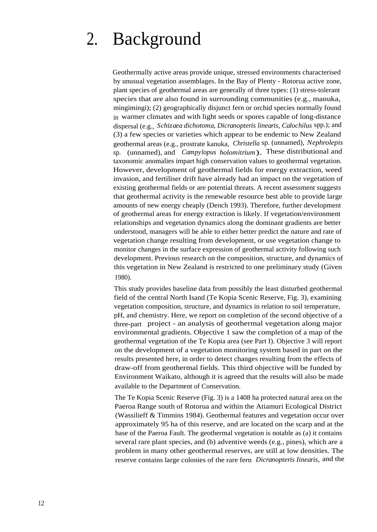## 2. Background

Geothermally active areas provide unique, stressed environments characterised by unusual vegetation assemblages. In the Bay of Plenty - Rotorua active zone, plant species of geothermal areas are generally of three types: (1) stress-tolerant species that are also found in surrounding communities (e.g., manuka, mingimingi); (2) geographically disjunct fern or orchid species normally found in warmer climates and with light seeds or spores capable of long-distance dispersal (e.g., *Schizaea dichotoma, Dicranopteris linearis, Calochilus* spp.); and (3) a few species or varieties which appear to be endemic to New Zealand geothermal areas (e.g., prostrate kanuka, *Christella* sp. (unnamed), *Nephrolepis* sp. (unnamed), and *Campylopus holomitrium*). These distributional and taxonomic anomalies impart high conservation values to geothermal vegetation. However, development of geothermal fields for energy extraction, weed invasion, and fertiliser drift have already had an impact on the vegetation of existing geothermal fields or are potential threats. A recent assessment suggests that geothermal activity is the renewable resource best able to provide large amounts of new energy cheaply (Dench 1993). Therefore, further development of geothermal areas for energy extraction is likely. If vegetation/environment relationships and vegetation dynamics along the dominant gradients are better understood, managers will be able to either better predict the nature and rate of vegetation change resulting from development, or use vegetation change to monitor changes in the surface expression of geothermal activity following such development. Previous research on the composition, structure, and dynamics of this vegetation in New Zealand is restricted to one preliminary study (Given 1980).

This study provides baseline data from possibly the least disturbed geothermal field of the central North Isand (Te Kopia Scenic Reserve, Fig. 3), examining vegetation composition, structure, and dynamics in relation to soil temperature, pH, and chemistry. Here, we report on completion of the second objective of a three-part project - an analysis of geothermal vegetation along major environmental gradients. Objective 1 saw the completion of a map of the geothermal vegetation of the Te Kopia area (see Part I). Objective 3 will report on the development of a vegetation monitoring system based in part on the results presented here, in order to detect changes resulting from the effects of draw-off from geothermal fields. This third objective will be funded by Environment Waikato, although it is agreed that the results will also be made available to the Department of Conservation.

The Te Kopia Scenic Reserve (Fig. 3) is a 1408 ha protected natural area on the Paeroa Range south of Rotorua and within the Atiamuri Ecological District (Wassilieff & Timmins 1984). Geothermal features and vegetation occur over approximately 95 ha of this reserve, and are located on the scarp and at the base of the Paeroa Fault. The geothermal vegetation is notable as (a) it contains several rare plant species, and (b) adventive weeds (e.g., pines), which are a problem in many other geothermal reserves, are still at low densities. The reserve contains large colonies of the rare fern *Dicranopteris Iinearis,* and the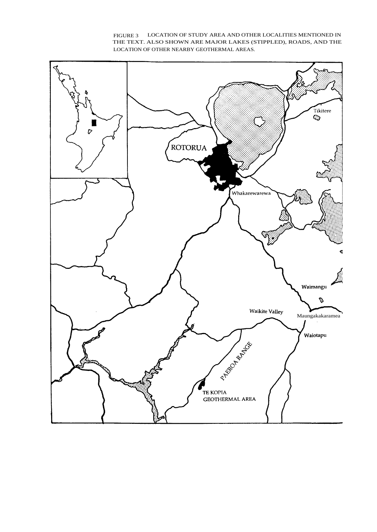

FIGURE 3 LOCATION OF STUDY AREA AND OTHER LOCALITIES MENTIONED IN THE TEXT. ALSO SHOWN ARE MAJOR LAKES (STIPPLED), ROADS, AND THE LOCATION OF OTHER NEARBY GEOTHERMAL AREAS.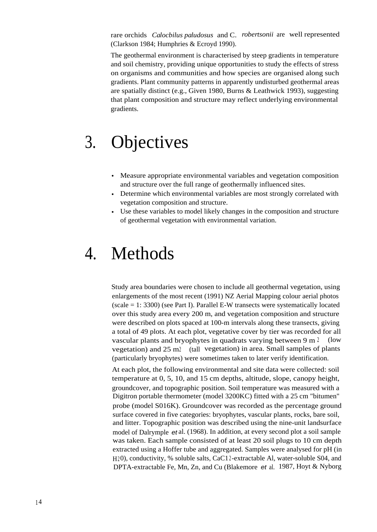rare orchids *Calocbilus paludosus* and C. *robertsonii* are well represented (Clarkson 1984; Humphries & Ecroyd 1990).

The geothermal environment is characterised by steep gradients in temperature and soil chemistry, providing unique opportunities to study the effects of stress on organisms and communities and how species are organised along such gradients. Plant community patterns in apparently undisturbed geothermal areas are spatially distinct (e.g., Given 1980, Burns & Leathwick 1993), suggesting that plant composition and structure may reflect underlying environmental gradients.

## 3. Objectives

- Measure appropriate environmental variables and vegetation composition and structure over the full range of geothermally influenced sites.
- Determine which environmental variables are most strongly correlated with vegetation composition and structure.
- Use these variables to model likely changes in the composition and structure of geothermal vegetation with environmental variation.

## 4. Methods

Study area boundaries were chosen to include all geothermal vegetation, using enlargements of the most recent (1991) NZ Aerial Mapping colour aerial photos  $(scale = 1: 3300)$  (see Part I). Parallel E-W transects were systematically located over this study area every 200 m, and vegetation composition and structure were described on plots spaced at 100-m intervals along these transects, giving a total of 49 plots. At each plot, vegetative cover by tier was recorded for all vascular plants and bryophytes in quadrats varying between  $9 \text{ m } 2$  (low vegetation) and 25 m2 (tall vegetation) in area. Small samples of plants (particularly bryophytes) were sometimes taken to later verify identification.

At each plot, the following environmental and site data were collected: soil temperature at 0, 5, 10, and 15 cm depths, altitude, slope, canopy height, groundcover, and topographic position. Soil temperature was measured with a Digitron portable thermometer (model 3200KC) fitted with a 25 cm "bitumen" probe (model S016K). Groundcover was recorded as the percentage ground surface covered in five categories: bryophytes, vascular plants, rocks, bare soil, and litter. Topographic position was described using the nine-unit landsurface model of Dalrymple et al. (1968). In addition, at every second plot a soil sample was taken. Each sample consisted of at least 20 soil plugs to 10 cm depth extracted using a Hoffer tube and aggregated. Samples were analysed for pH (in H<sub>2</sub>0), conductivity, % soluble salts, CaC12-extractable Al, water-soluble S04, and DPTA-extractable Fe, Mn, Zn, and Cu (Blakemore et al. 1987, Hoyt & Nyborg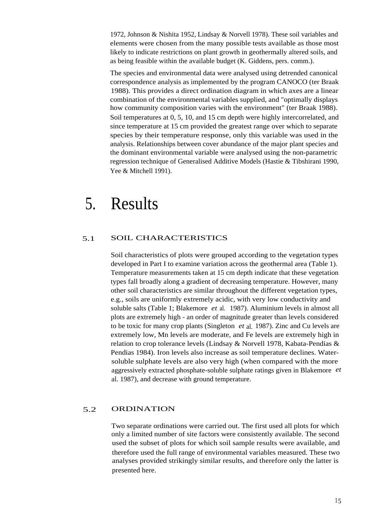1972, Johnson & Nishita 1952, Lindsay & Norvell 1978). These soil variables and elements were chosen from the many possible tests available as those most likely to indicate restrictions on plant growth in geothermally altered soils, and as being feasible within the available budget (K. Giddens, pers. comm.).

The species and environmental data were analysed using detrended canonical correspondence analysis as implemented by the program CANOCO (ter Braak 1988). This provides a direct ordination diagram in which axes are a linear combination of the environmental variables supplied, and "optimally displays how community composition varies with the environment" (ter Braak 1988). Soil temperatures at 0, 5, 10, and 15 cm depth were highly intercorrelated, and since temperature at 15 cm provided the greatest range over which to separate species by their temperature response, only this variable was used in the analysis. Relationships between cover abundance of the major plant species and the dominant environmental variable were analysed using the non-parametric regression technique of Generalised Additive Models (Hastie & Tibshirani 1990, Yee & Mitchell 1991).

### 5. Results

#### 5.1 SOIL CHARACTERISTICS

Soil characteristics of plots were grouped according to the vegetation types developed in Part I to examine variation across the geothermal area (Table 1). Temperature measurements taken at 15 cm depth indicate that these vegetation types fall broadly along a gradient of decreasing temperature. However, many other soil characteristics are similar throughout the different vegetation types, e.g., soils are uniformly extremely acidic, with very low conductivity and soluble salts (Table 1; Blakemore *et* al. 1987). Aluminium levels in almost all plots are extremely high - an order of magnitude greater than levels considered to be toxic for many crop plants (Singleton *et* al. 1987). Zinc and Cu levels are extremely low, Mn levels are moderate, and Fe levels are extremely high in relation to crop tolerance levels (Lindsay & Norvell 1978, Kabata-Pendias & Pendias 1984). Iron levels also increase as soil temperature declines. Watersoluble sulphate levels are also very high (when compared with the more aggressively extracted phosphate-soluble sulphate ratings given in Blakemore *et* al. 1987), and decrease with ground temperature.

#### 5.2 ORDINATION

Two separate ordinations were carried out. The first used all plots for which only a limited number of site factors were consistently available. The second used the subset of plots for which soil sample results were available, and therefore used the full range of environmental variables measured. These two analyses provided strikingly similar results, and therefore only the latter is presented here.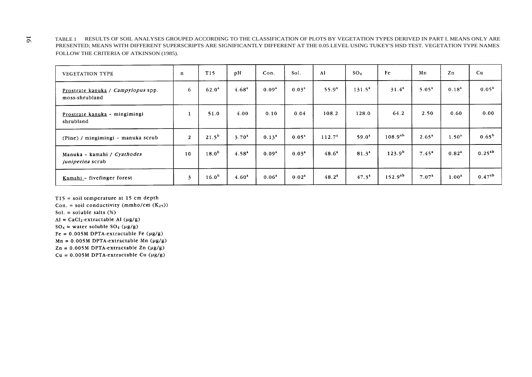TABLE 1 RESULTS OF SOIL ANALYSES GROUPED ACCORDING TO THE CLASSIFICATION OF PLOTS BY VEGETATION TYPES DERIVED IN PART I. MEANS ONLY ARE PRESENTED; MEANS WITH DIFFERENT SUPERSCRIPTS ARE SIGNIFICANTLY DIFFERENT AT THE 0.05 LEVEL USING TUKEY'S HSD TEST. VEGETATION TYPE NAMES FOLLOW THE CRITERIA OF ATKINSON (1985).

| <b>VEGETATION TYPE</b>                               | $\mathbf{n}$            | T15               | pH                | Con.              | Sol.              | Al                 | SO <sub>4</sub>   | Fe           | Mn                | $\mathbf{Z}$ n    | Cu          |
|------------------------------------------------------|-------------------------|-------------------|-------------------|-------------------|-------------------|--------------------|-------------------|--------------|-------------------|-------------------|-------------|
| Prostrate kanuka / Campylopus spp.<br>moss-shrubland | 6                       | $62.0^4$          | 4.68 <sup>4</sup> | 0.09 <sup>a</sup> | 0.03 <sup>a</sup> | $55.9^{a}$         | $131.5^a$         | $31.4^2$     | 5.05 <sup>a</sup> | $0.18^{2}$        | $0.05^{2}$  |
| Prostrate kanuka - mingimingi<br>shrubland           |                         | 51.0              | 4.00              | 0.10              | 0.04              | 108.2              | 128.0             | 64.2         | 2.50              | 0.60              | 0.00        |
| (Pine) / mingimingi - manuka scrub                   | $\overline{2}$          | $21.5^{b}$        | 3.70 <sup>a</sup> | $0.13^{a}$        | $0.05^{a}$        | 112.7 <sup>a</sup> | $59.0^a$          | $108.9^{ab}$ | 2.65 <sup>a</sup> | 1.50 <sup>a</sup> | $0.65^{b}$  |
| Manuka - kamahi / Cyathodes<br>juniperina scrub      | 10                      | $18.0^{b}$        | 4.58 <sup>a</sup> | 0.09 <sup>a</sup> | 0.03 <sup>4</sup> | $48.6^4$           | 81.3 <sup>2</sup> | $123.9^{b}$  | $7.45^a$          | $0.82^{a}$        | $0.25^{ab}$ |
| Kamahi - fivefinger forest                           | $\overline{\mathbf{3}}$ | 16.0 <sup>b</sup> | 4.60 <sup>a</sup> | 0.06 <sup>4</sup> | 0.02 <sup>a</sup> | $48.2^{\circ}$     | $47.3^{\circ}$    | $152.9^{ab}$ | 7.07 <sup>4</sup> | 1.00 <sup>4</sup> | $0.47^{ab}$ |

 $T15$  = soil temperature at 15 cm depth

Con. = soil conductivity (mmho/cm  $(K_{25})$ )

Sol. = soluble salts  $(*)$ 

 $AI = CaCl<sub>2</sub>-extractable AI ( $\mu$ g/g)$ 

 $SO_4$  = water soluble  $SO_4$  (µg/g)

Fe =  $0.005M$  DPTA-extractable Fe ( $\mu$ g/g)

 $Mn = 0.005M$  DPTA-extractable Mn (µg/g)

 $Zn = 0.005M$  DPTA-extractable  $Zn$  (µg/g)

 $Cu = 0.005M DPTA-extractable Cu ( $\mu g/g$ )$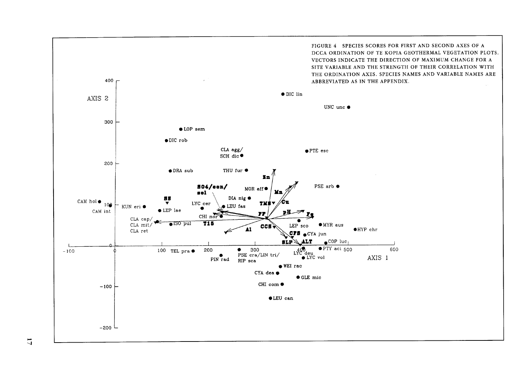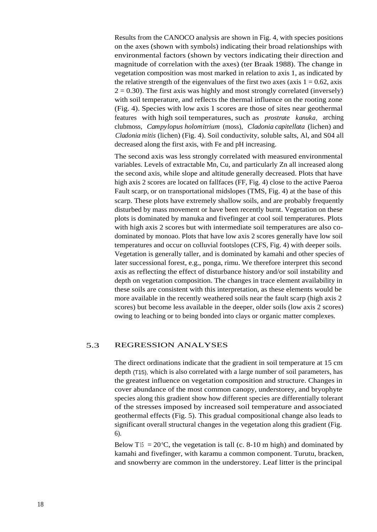Results from the CANOCO analysis are shown in Fig. 4, with species positions on the axes (shown with symbols) indicating their broad relationships with environmental factors (shown by vectors indicating their direction and magnitude of correlation with the axes) (ter Braak 1988). The change in vegetation composition was most marked in relation to axis 1, as indicated by the relative strength of the eigenvalues of the first two axes (axis  $1 = 0.62$ , axis  $2 = 0.30$ ). The first axis was highly and most strongly correlated (inversely) with soil temperature, and reflects the thermal influence on the rooting zone (Fig. 4). Species with low axis 1 scores are those of sites near geothermal features with high soil temperatures, such as *prostrate kanuka*, arching clubmoss, *Campylopus holomitrium* (moss), *Cladonia capitellata* (lichen) and *Cladonia mitis* (lichen) (Fig. 4). Soil conductivity, soluble salts, Al, and S04 all decreased along the first axis, with Fe and pH increasing.

The second axis was less strongly correlated with measured environmental variables. Levels of extractable Mn, Cu, and particularly Zn all increased along the second axis, while slope and altitude generally decreased. Plots that have high axis 2 scores are located on fallfaces (FF, Fig. 4) close to the active Paeroa Fault scarp, or on transportational midslopes (TMS, Fig. 4) at the base of this scarp. These plots have extremely shallow soils, and are probably frequently disturbed by mass movement or have been recently burnt. Vegetation on these plots is dominated by manuka and fivefinger at cool soil temperatures. Plots with high axis 2 scores but with intermediate soil temperatures are also codominated by monoao. Plots that have low axis 2 scores generally have low soil temperatures and occur on colluvial footslopes (CFS, Fig. 4) with deeper soils. Vegetation is generally taller, and is dominated by kamahi and other species of later successional forest, e.g., ponga, rimu. We therefore interpret this second axis as reflecting the effect of disturbance history and/or soil instability and depth on vegetation composition. The changes in trace element availability in these soils are consistent with this interpretation, as these elements would be more available in the recently weathered soils near the fault scarp (high axis 2 scores) but become less available in the deeper, older soils (low axis 2 scores) owing to leaching or to being bonded into clays or organic matter complexes.

#### 5.3 REGRESSION ANALYSES

The direct ordinations indicate that the gradient in soil temperature at 15 cm depth (T15), which is also correlated with a large number of soil parameters, has the greatest influence on vegetation composition and structure. Changes in cover abundance of the most common canopy, understorey, and bryophyte species along this gradient show how different species are differentially tolerant of the stresses imposed by increased soil temperature and associated geothermal effects (Fig. 5). This gradual compositional change also leads to significant overall structural changes in the vegetation along this gradient (Fig. 6).

Below T<sub>15</sub> =  $20^{\circ}$ C, the vegetation is tall (c. 8-10 m high) and dominated by kamahi and fivefinger, with karamu a common component. Turutu, bracken, and snowberry are common in the understorey. Leaf litter is the principal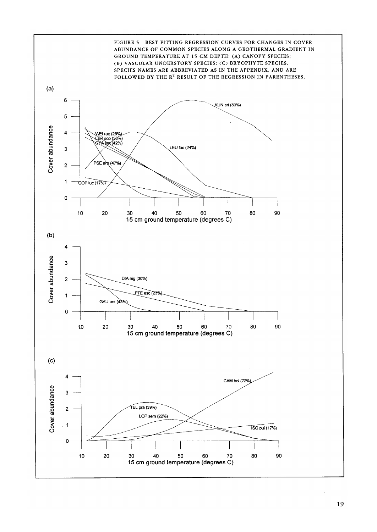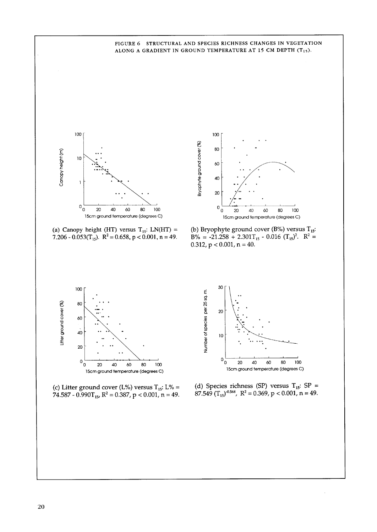#### FIGURE 6 STRUCTURAL AND SPECIES RICHNESS CHANGES IN VEGETATION ALONG A GRADIENT IN GROUND TEMPERATURE AT 15 CM DEPTH  $(T_{15})$ .



(a) Canopy height (HT) versus  $T_{15}$ : LN(HT) = 7.206 - 0.053( $T_{15}$ ). R<sup>2</sup> = 0.658, p < 0.001, n = 49.



(b) Bryophyte ground cover (B%) versus  $T_{15}$ :<br>B% = -21.258 + 2.301T<sub>15</sub> - 0.016 (T<sub>15</sub>)<sup>2</sup>. R<sup>2</sup> =  $0.312$ ,  $p < 0.001$ ,  $n = 40$ .



(c) Litter ground cover (L%) versus  $T_{15}$ : L% = 74.587 - 0.990 $T_{15}$ , R<sup>2</sup> = 0.387, p < 0.001, n = 49.



(d) Species richness (SP) versus  $T_{15}$ : SP = 87.549 ( $T_{15}$ )<sup>0.568</sup>, R<sup>2</sup> = 0.369, p < 0.001, n = 49.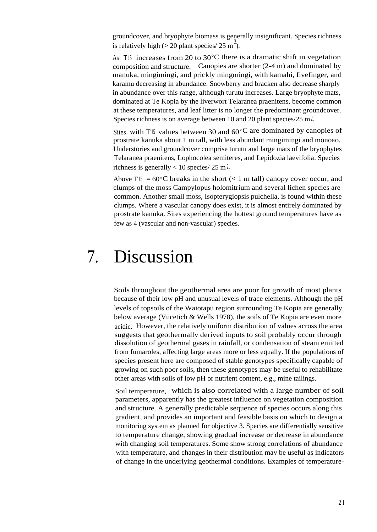groundcover, and bryophyte biomass is generally insignificant. Species richness is relatively high ( $> 20$  plant species/ 25 m<sup>2</sup>).

As T<sub>15</sub> increases from 20 to  $30^{\circ}$ C there is a dramatic shift in vegetation composition and structure. Canopies are shorter (2-4 m) and dominated by manuka, mingimingi, and prickly mingmingi, with kamahi, fivefinger, and karamu decreasing in abundance. Snowberry and bracken also decrease sharply in abundance over this range, although turutu increases. Large bryophyte mats, dominated at Te Kopia by the liverwort Telaranea praenitens, become common at these temperatures, and leaf litter is no longer the predominant groundcover. Species richness is on average between 10 and 20 plant species/25 m<sup>2</sup>.

Sites with T<sub>15</sub> values between 30 and  $60^{\circ}$ C are dominated by canopies of prostrate kanuka about 1 m tall, with less abundant mingimingi and monoao. Understories and groundcover comprise turutu and large mats of the bryophytes Telaranea praenitens, Lophocolea semiteres, and Lepidozia laevifolia. Species richness is generally  $< 10$  species/ 25 m<sup>2</sup>.

Above  $T15 = 60^{\circ}$ C breaks in the short (< 1 m tall) can opy cover occur, and clumps of the moss Campylopus holomitrium and several lichen species are common. Another small moss, Isopterygiopsis pulchella, is found within these clumps. Where a vascular canopy does exist, it is almost entirely dominated by prostrate kanuka. Sites experiencing the hottest ground temperatures have as few as 4 (vascular and non-vascular) species.

### 7. Discussion

Soils throughout the geothermal area are poor for growth of most plants because of their low pH and unusual levels of trace elements. Although the pH levels of topsoils of the Waiotapu region surrounding Te Kopia are generally below average (Vucetich & Wells 1978), the soils of Te Kopia are even more acidic. However, the relatively uniform distribution of values across the area suggests that geothermally derived inputs to soil probably occur through dissolution of geothermal gases in rainfall, or condensation of steam emitted from fumaroles, affecting large areas more or less equally. If the populations of species present here are composed of stable genotypes specifically capable of growing on such poor soils, then these genotypes may be useful to rehabilitate other areas with soils of low pH or nutrient content, e.g., mine tailings.

Soil temperature, which is also correlated with a large number of soil parameters, apparently has the greatest influence on vegetation composition and structure. A generally predictable sequence of species occurs along this gradient, and provides an important and feasible basis on which to design a monitoring system as planned for objective 3. Species are differentially sensitive to temperature change, showing gradual increase or decrease in abundance with changing soil temperatures. Some show strong correlations of abundance with temperature, and changes in their distribution may be useful as indicators of change in the underlying geothermal conditions. Examples of temperature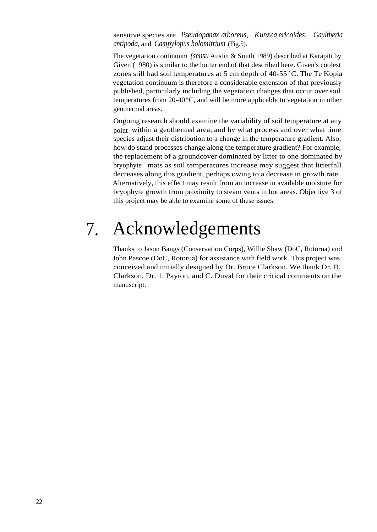sensitive species are *Pseudopanax arboreus, Kunzea ericoides, Gaultheria antipoda,* and *Campylopus holomitrium* (Fig.5).

The vegetation continuum *(sensu* Austin & Smith 1989) described at Karapiti by Given (1980) is similar to the hotter end of that described here. Given's coolest zones still had soil temperatures at 5 cm depth of 40-55 °C. The Te Kopia vegetation continuum is therefore a considerable extension of that previously published, particularly including the vegetation changes that occur over soil temperatures from 20-40 °C, and will be more applicable to vegetation in other geothermal areas.

Ongoing research should examine the variability of soil temperature at any point within a geothermal area, and by what process and over what time species adjust their distribution to a change in the temperature gradient. Also, how do stand processes change along the temperature gradient? For example, the replacement of a groundcover dominated by litter to one dominated by bryophyte mats as soil temperatures increase may suggest that litterfall decreases along this gradient, perhaps owing to a decrease in growth rate. Alternatively, this effect may result from an increase in available moisture for bryophyte growth from proximity to steam vents in hot areas. Objective 3 of this project may be able to examine some of these issues.

## 7. Acknowledgements

Thanks to Jason Bangs (Conservation Corps), Willie Shaw (DoC, Rotorua) and John Pascoe (DoC, Rotorua) for assistance with field work. This project was conceived and initially designed by Dr. Bruce Clarkson. We thank Dr. B. Clarkson, Dr. 1. Payton, and C. Duval for their critical comments on the manuscript.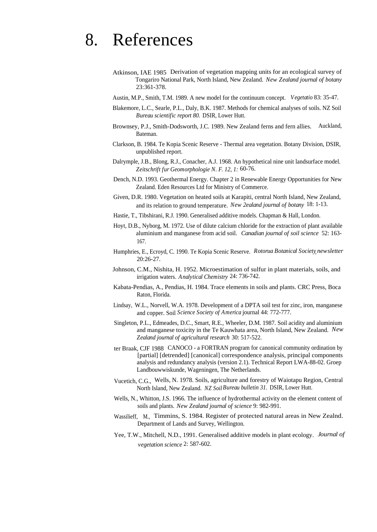### 8. References

- Atkinson, IAE 1985 Derivation of vegetation mapping units for an ecological survey of Tongariro National Park, North Island, New Zealand. *New Zealand journal of botany* 23:361-378.
- Austin, M.P., Smith, T.M. 1989. A new model for the continuum concept. *Vegetatio* 83: 35-47.
- Blakemore, L.C., Searle, P.L., Daly, B.K. 1987. Methods for chemical analyses of soils. NZ Soil *Bureau scientific report 80.* DSIR, Lower Hutt.
- Brownsey, P.J., Smith-Dodsworth, J.C. 1989. New Zealand ferns and fern allies. Auckland, Bateman.
- Clarkson, B. 1984. Te Kopia Scenic Reserve Thermal area vegetation. Botany Division, DSIR, unpublished report.
- Dalrymple, J.B., Blong, R.J., Conacher, A.J. 1968. An hypothetical nine unit landsurface model. *Zeitschrift fur Geomorphologie N. F. 12, 1:* 60-76.
- Dench, N.D. 1993. Geothermal Energy. Chapter 2 in Renewable Energy Opportunities for New Zealand. Eden Resources Ltd for Ministry of Commerce.
- Given, D.R. 1980. Vegetation on heated soils at Karapiti, central North Island, New Zealand, and its relation to ground temperature. *New 2ealand journal of botany* 18: 1-13.
- Hastie, T., Tibshirani, R.J. 1990. Generalised additive models. Chapman & Hall, London.
- Hoyt, D.B., Nyborg, M. 1972. Use of dilute calcium chloride for the extraction of plant available aluminium and manganese from acid soil. *Canadian journal of soil science* 52: 163- 167.
- Humphries, E., Ecroyd, C. 1990. Te Kopia Scenic Reserve. *Rotorua Botanical Society,newsletter* 20:26-27.
- Johnson, C.M., Nishita, H. 1952. Microestimation of sulfur in plant materials, soils, and irrigation waters. *Analytical Chemistry* 24: 736-742.
- Kabata-Pendias, A., Pendias, H. 1984. Trace elements in soils and plants. CRC Press, Boca Raton, Florida.
- Lindsay, W.L., Norvell, W.A. 1978. Development of a DPTA soil test for zinc, iron, manganese and copper. Soil *Science Society of America* journal 44: 772-777.
- Singleton, P.L., Edmeades, D.C., Smart, R.E., Wheeler, D.M. 1987. Soil acidity and aluminium and manganese toxicity in the Te Kauwhata area, North Island, New Zealand. *New Zealand journal of agricultural research* 30: 517-522.
- ter Braak, CJF 1988 CANOCO a FORTRAN program for canonical community ordination by [partial] [detrended] [canonical] correspondence analysis, principal components analysis and redundancy analysis (version 2.1). Technical Report LWA-88-02. Groep Landbouwwiskunde, Wageningen, The Netherlands.
- Vucetich, C.G., Wells, N. 1978. Soils, agriculture and forestry of Waiotapu Region, Central North Island, New Zealand. *NZ SoilBureau bulletin 31.* DSIR, Lower Hutt.
- Wells, N., Whitton, J.S. 1966. The influence of hydrothermal activity on the element content of soils and plants. *New Zealand journal of science* 9: 982-991.
- Wassilieff, M., Timmins, S. 1984. Register of protected natural areas in New Zealnd. Department of Lands and Survey, Wellington.
- Yee, T.W., Mitchell, N.D., 1991. Generalised additive models in plant ecology. *Journal of vegetation science* 2: 587-602.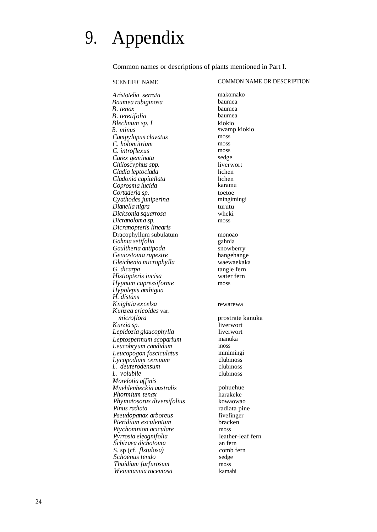# 9. Appendix

Common names or descriptions of plants mentioned in Part I.

#### SCENTIFIC NAME COMMON NAME OR DESCRIPTION

*Aristotelia serrata* makomako *Baumea rubiginosa* baumea *B. tenax* baumea<br>*R. teretifolia* baumea *B. teretifolia* baume:<br> *Blechnum sn I* kiokio *Blechnum sp. I*<br>*B. minus Campylopus clavatus* moss *C. holomitrium* moss *C. introflexus* moss carex geminata sedge *Carex geminata Chiloscyphus spp.* liverwort *Cladia leptoclada* lichen *Cladonia capitellata* lichen  $C$ oprosma lucida *Cortaderia sp.* toetoe *Cyathodes juniperina Dianella nigra* turutu<br>*Dicksonia sauarrosa* turutu  $Dicksonia$  squarrosa *Dicranoloma sp.* moss *Dicranopteris linearis* Dracophyllum subulatum monoao *Gahnia setifolia* gahnia *Gaultheria antipoda* snowberry<br> *Geniostoma rupestre* strange hangehange *Geniostoma rupestre* hangehange *Gleichenia microphylla*<br>*G. dicarpa*  $Historieris incisa$ *Hypnum cupressiforme* moss *Hypolepis ambigua H. distans Knightia excelsa* rewarewa *Kunzea ericoides* var. *Kurzia sp.* liverwort *Lepidozia glaucophylla* liverwo<br>*Leptospermum scoparium* manuka *Leptospermum scoparium* manusana manusana manusana manusana manusana manusana manusana manusana manusana manus<br>Leucobryum candidum *Leucobryum candidum* moss *Leucopogon fasciculatus* miniminging miniminging miniming *Lycopodium cernuum* clubmoss<br> *L. deuterodensum* clubmoss *L. deuterodensum* clubmoss *L. volubile Morelotia affinis Muehlenbeckia australis* pohuehue<br>*Phormium tenax* harakeke *Phormium tenax* harakeke *Phymatosorus diversifolius*<br>*Pinus radiata Pseudopanax arboreus* fivefinger<br>*Pteridium esculentum* bracken *Pteridium esculentum Ptychomnion aciculare* moss *Pyrrosia eleagnifolia* leather-leaf fern *Scbizaea dichotoma* an fern S. sp (cf. *flstulosa)* comb fern *Schoenus tendo* sedge *Thuidium furfurosum* moss *Weinmannia racemosa* kamahi

*B. minus* swamp kiokio tangle fern<br>water fern *microflora* prostrate kanuka *Pinus radiata* radiata pine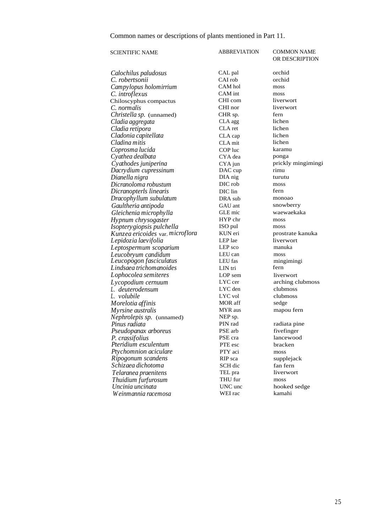Common names or descriptions of plants mentioned in Part 11.

| <b>SCIENTIFIC NAME</b>           | <b>ABBREVIATION</b> | <b>COMMON NAME</b><br>OR DESCRIPTION |
|----------------------------------|---------------------|--------------------------------------|
| Calochilus paludosus             | CAL pal             | orchid                               |
| C. robertsonii                   | CAI rob             | orchid                               |
| Campylopus holomirrium           | CAM hol             | moss                                 |
| C. introflexus                   | CAM int             | moss                                 |
| Chiloscyphus compactus           | CHI com             | liverwort                            |
| C. normalis                      | CHI nor             | liverwort                            |
| Christella sp. (unnamed)         | CHR sp.             | fern                                 |
| Cladia aggregata                 | CLA agg             | lichen                               |
| Cladia retipora                  | CLA ret             | lichen                               |
| Cladonia capitellata             | CLA cap             | lichen                               |
| Cladina mitis                    | CLA mit             | lichen                               |
| Coprosma lucida                  | COP luc             | karamu                               |
| Cyathea dealbata                 | CYA dea             | ponga                                |
| Cyathodes juniperina             | $CYA$ jun           | prickly mingimingi                   |
| Dacrydium cupressinum            | DAC cup             | rimu                                 |
| Dianella nigra                   | DIA nig             | turutu                               |
| Dicranoloma robustum             | DIC rob             | moss                                 |
| Dicranopterls linearis           | DIC lin             | fern                                 |
| Dracophyllum subulatum           | DRA sub             | monoao                               |
| Gaultheria antipoda              | GAU ant             | snowberry                            |
| Gleichenia microphylla           | GLE mic             | waewaekaka                           |
| Hypnum chrysogaster              | HYP chr             | moss                                 |
| Isoptery giopsis pulchella       | ISO pul             | moss                                 |
| Kunzea ericoides var. microflora | KUN eri             | prostrate kanuka                     |
| Lepidozia laevifolia             | LEP lae             | liverwort                            |
| Leptospermum scoparium           | LEP sco             | manuka                               |
| Leucobryum candidum              | LEU can             | moss                                 |
| Leucopogon fasciculatus          | LEU fas             | mingimingi                           |
| Lindsaea trichomanoides          | LIN tri             | fern                                 |
| Lophocolea semiteres             | LOP sem             | liverwort                            |
| Lycopodium cernuum               | LYC cer             | arching clubmoss                     |
| L. deuterodensum                 | LYC den             | clubmoss                             |
| L. volubile                      | LYC vol             | clubmoss                             |
| Morelotia affinis                | MOR aff             | sedge                                |
| Myrsine australis                | MYR aus             | mapou fern                           |
| Nephrolepis sp. (unnamed)        | NEP sp.             |                                      |
| Pinus radiata                    | PIN rad             | radiata pine                         |
| Pseudopanax arboreus             | PSE arb             | fivefinger                           |
| P. crassifolius                  | PSE cra             | lancewood                            |
| Pteridium esculentum             | PTE esc             | bracken                              |
| Ptychomnion aciculare            | PTY aci             | moss                                 |
| Ripogonum scandens               | RIP sca             | supplejack                           |
| Schizaea dichotoma               | SCH dic             | fan fern                             |
| Telaranea praenitens             | TEL pra             | liverwort                            |
| Thuidium furfurosum              | THU fur             | moss                                 |
| Uncinia uncinata                 | UNC unc             | hooked sedge                         |
| Weinmannia racemosa              | WEI rac             | kamahi                               |
|                                  |                     |                                      |